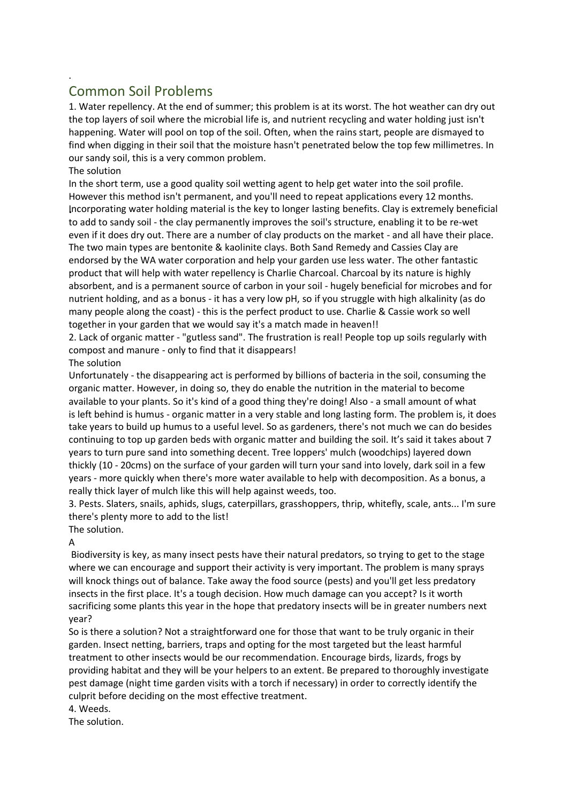## Common Soil Problems

1. Water repellency. At the end of summer; this problem is at its worst. The hot weather can dry out the top layers of soil where the microbial life is, and nutrient recycling and water holding just isn't happening. Water will pool on top of the soil. Often, when the rains start, people are dismayed to find when digging in their soil that the moisture hasn't penetrated below the top few millimetres. In our sandy soil, this is a very common problem.

The solution

.

In the short term, use a good quality soil wetting agent to help get water into the soil profile. However this method isn't permanent, and you'll need to repeat applications every 12 months. Incorporating water holding material is the key to longer lasting benefits. Clay is extremely beneficial to add to sandy soil - the clay permanently improves the soil's structure, enabling it to be re-wet even if it does dry out. There are a number of clay products on the market - and all have their place. The two main types are bentonite & kaolinite clays. Both Sand Remedy and Cassies Clay are endorsed by the WA water corporation and help your garden use less water. The other fantastic product that will help with water repellency is Charlie Charcoal. Charcoal by its nature is highly absorbent, and is a permanent source of carbon in your soil - hugely beneficial for microbes and for nutrient holding, and as a bonus - it has a very low pH, so if you struggle with high alkalinity (as do many people along the coast) - this is the perfect product to use. Charlie & Cassie work so well together in your garden that we would say it's a match made in heaven!!

2. Lack of organic matter - "gutless sand". The frustration is real! People top up soils regularly with compost and manure - only to find that it disappears!

## The solution

Unfortunately - the disappearing act is performed by billions of bacteria in the soil, consuming the organic matter. However, in doing so, they do enable the nutrition in the material to become available to your plants. So it's kind of a good thing they're doing! Also - a small amount of what is left behind is humus - organic matter in a very stable and long lasting form. The problem is, it does take years to build up humus to a useful level. So as gardeners, there's not much we can do besides continuing to top up garden beds with organic matter and building the soil. It's said it takes about 7 years to turn pure sand into something decent. Tree loppers' mulch (woodchips) layered down thickly (10 - 20cms) on the surface of your garden will turn your sand into lovely, dark soil in a few years - more quickly when there's more water available to help with decomposition. As a bonus, a really thick layer of mulch like this will help against weeds, too.

3. Pests. Slaters, snails, aphids, slugs, caterpillars, grasshoppers, thrip, whitefly, scale, ants... I'm sure there's plenty more to add to the list!

## The solution.

A

Biodiversity is key, as many insect pests have their natural predators, so trying to get to the stage where we can encourage and support their activity is very important. The problem is many sprays will knock things out of balance. Take away the food source (pests) and you'll get less predatory insects in the first place. It's a tough decision. How much damage can you accept? Is it worth sacrificing some plants this year in the hope that predatory insects will be in greater numbers next year?

So is there a solution? Not a straightforward one for those that want to be truly organic in their garden. Insect netting, barriers, traps and opting for the most targeted but the least harmful treatment to other insects would be our recommendation. Encourage birds, lizards, frogs by providing habitat and they will be your helpers to an extent. Be prepared to thoroughly investigate pest damage (night time garden visits with a torch if necessary) in order to correctly identify the culprit before deciding on the most effective treatment.

## 4. Weeds.

The solution.